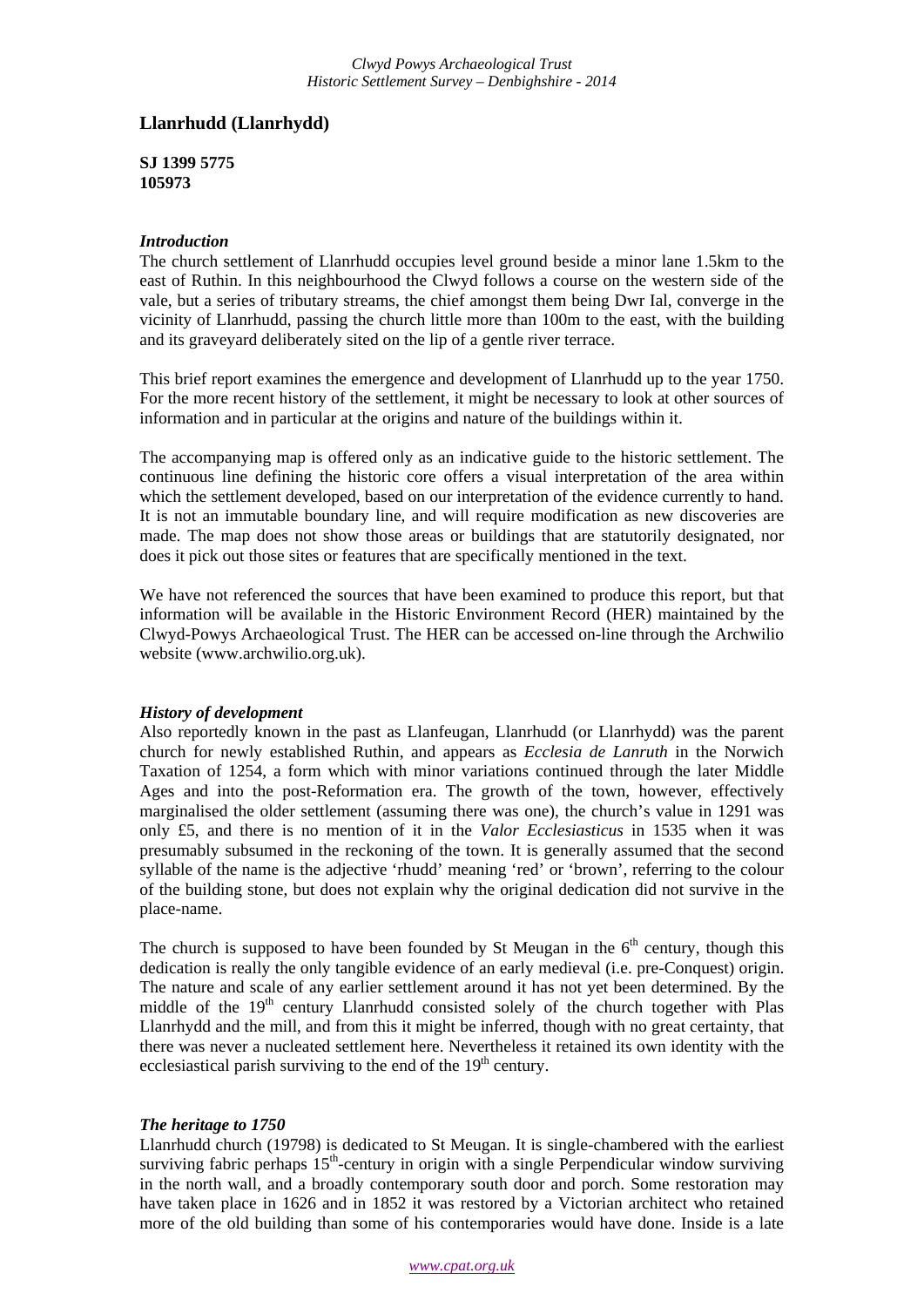# **Llanrhudd (Llanrhydd)**

**SJ 1399 5775 105973**

## *Introduction*

The church settlement of Llanrhudd occupies level ground beside a minor lane 1.5km to the east of Ruthin. In this neighbourhood the Clwyd follows a course on the western side of the vale, but a series of tributary streams, the chief amongst them being Dwr Ial, converge in the vicinity of Llanrhudd, passing the church little more than 100m to the east, with the building and its graveyard deliberately sited on the lip of a gentle river terrace.

This brief report examines the emergence and development of Llanrhudd up to the year 1750. For the more recent history of the settlement, it might be necessary to look at other sources of information and in particular at the origins and nature of the buildings within it.

The accompanying map is offered only as an indicative guide to the historic settlement. The continuous line defining the historic core offers a visual interpretation of the area within which the settlement developed, based on our interpretation of the evidence currently to hand. It is not an immutable boundary line, and will require modification as new discoveries are made. The map does not show those areas or buildings that are statutorily designated, nor does it pick out those sites or features that are specifically mentioned in the text.

We have not referenced the sources that have been examined to produce this report, but that information will be available in the Historic Environment Record (HER) maintained by the Clwyd-Powys Archaeological Trust. The HER can be accessed on-line through the Archwilio website (www.archwilio.org.uk).

#### *History of development*

Also reportedly known in the past as Llanfeugan, Llanrhudd (or Llanrhydd) was the parent church for newly established Ruthin, and appears as *Ecclesia de Lanruth* in the Norwich Taxation of 1254, a form which with minor variations continued through the later Middle Ages and into the post-Reformation era. The growth of the town, however, effectively marginalised the older settlement (assuming there was one), the church's value in 1291 was only £5, and there is no mention of it in the *Valor Ecclesiasticus* in 1535 when it was presumably subsumed in the reckoning of the town. It is generally assumed that the second syllable of the name is the adjective 'rhudd' meaning 'red' or 'brown', referring to the colour of the building stone, but does not explain why the original dedication did not survive in the place-name.

The church is supposed to have been founded by St Meugan in the  $6<sup>th</sup>$  century, though this dedication is really the only tangible evidence of an early medieval (i.e. pre-Conquest) origin. The nature and scale of any earlier settlement around it has not yet been determined. By the middle of the  $19<sup>th</sup>$  century Llanrhudd consisted solely of the church together with Plas Llanrhydd and the mill, and from this it might be inferred, though with no great certainty, that there was never a nucleated settlement here. Nevertheless it retained its own identity with the ecclesiastical parish surviving to the end of the  $19<sup>th</sup>$  century.

#### *The heritage to 1750*

Llanrhudd church (19798) is dedicated to St Meugan. It is single-chambered with the earliest surviving fabric perhaps  $15<sup>th</sup>$ -century in origin with a single Perpendicular window surviving in the north wall, and a broadly contemporary south door and porch. Some restoration may have taken place in 1626 and in 1852 it was restored by a Victorian architect who retained more of the old building than some of his contemporaries would have done. Inside is a late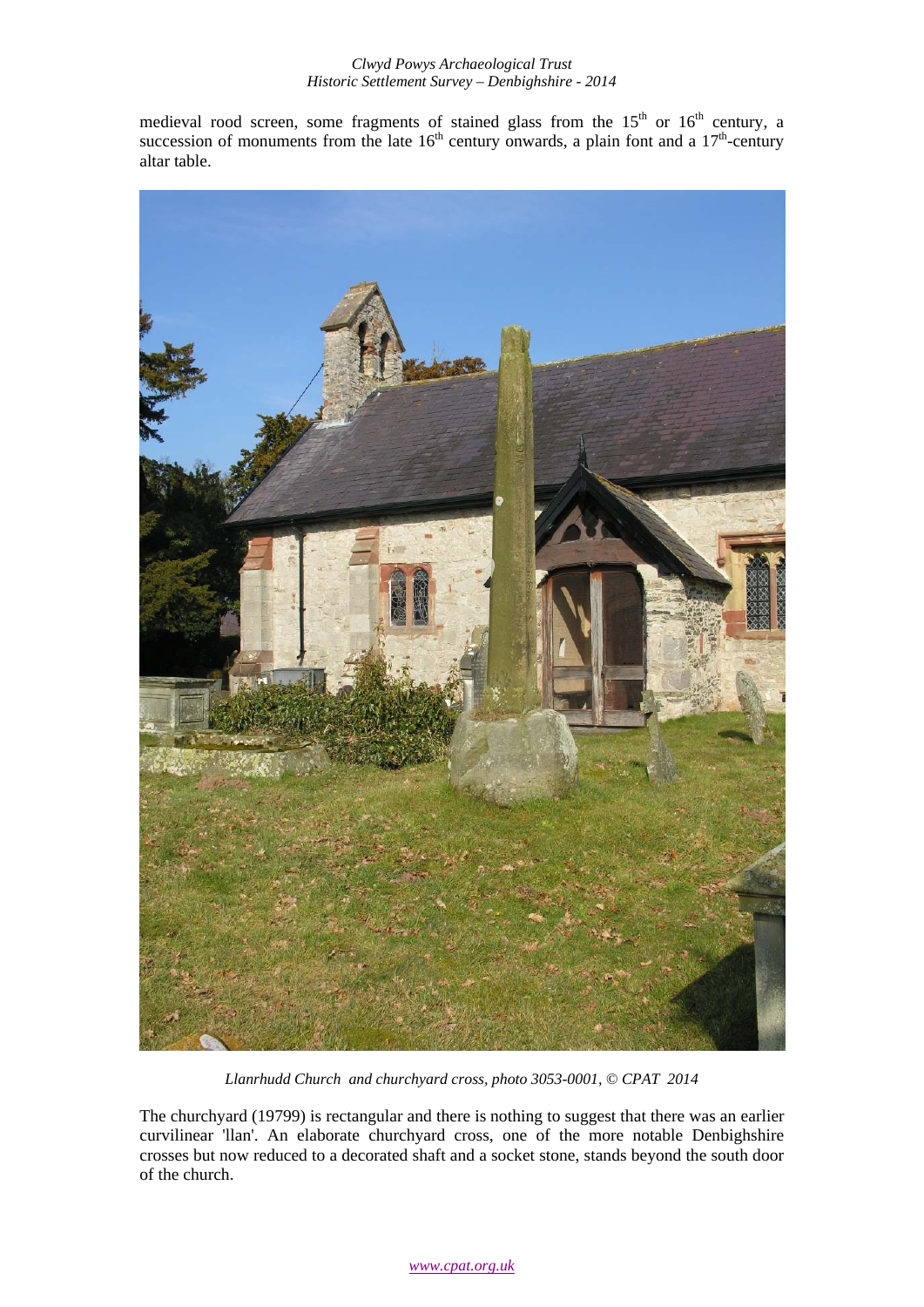### *Clwyd Powys Archaeological Trust Historic Settlement Survey – Denbighshire - 2014*

medieval rood screen, some fragments of stained glass from the  $15<sup>th</sup>$  or  $16<sup>th</sup>$  century, a succession of monuments from the late  $16<sup>th</sup>$  century onwards, a plain font and a  $17<sup>th</sup>$ -century altar table.



*Llanrhudd Church and churchyard cross, photo 3053-0001, © CPAT 2014* 

The churchyard (19799) is rectangular and there is nothing to suggest that there was an earlier curvilinear 'llan'. An elaborate churchyard cross, one of the more notable Denbighshire crosses but now reduced to a decorated shaft and a socket stone, stands beyond the south door of the church.